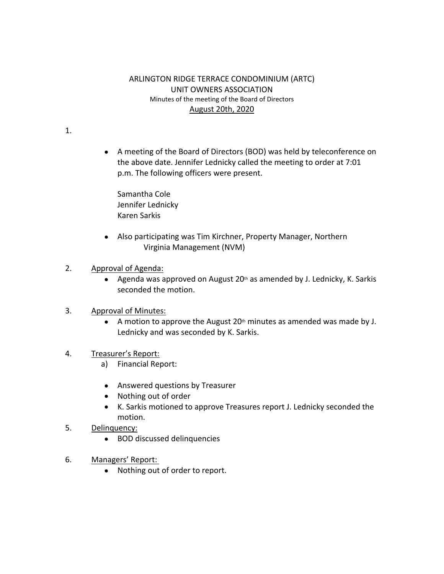## ARLINGTON RIDGE TERRACE CONDOMINIUM (ARTC) UNIT OWNERS ASSOCIATION Minutes of the meeting of the Board of Directors August 20th, 2020

1.

 A meeting of the Board of Directors (BOD) was held by teleconference on the above date. Jennifer Lednicky called the meeting to order at 7:01 p.m. The following officers were present.

Samantha Cole Jennifer Lednicky Karen Sarkis

- Also participating was Tim Kirchner, Property Manager, Northern Virginia Management (NVM)
- 2. Approval of Agenda:
	- Agenda was approved on August 20<sup>th</sup> as amended by J. Lednicky, K. Sarkis seconded the motion.
- 3. Approval of Minutes:
	- A motion to approve the August  $20<sup>th</sup>$  minutes as amended was made by J. Lednicky and was seconded by K. Sarkis.
- 4. Treasurer's Report:
	- a) Financial Report:
	- Answered questions by Treasurer
	- Nothing out of order
	- K. Sarkis motioned to approve Treasures report J. Lednicky seconded the motion.
- 5. Delinquency:
	- BOD discussed delinquencies
- 6. Managers' Report:
	- Nothing out of order to report.